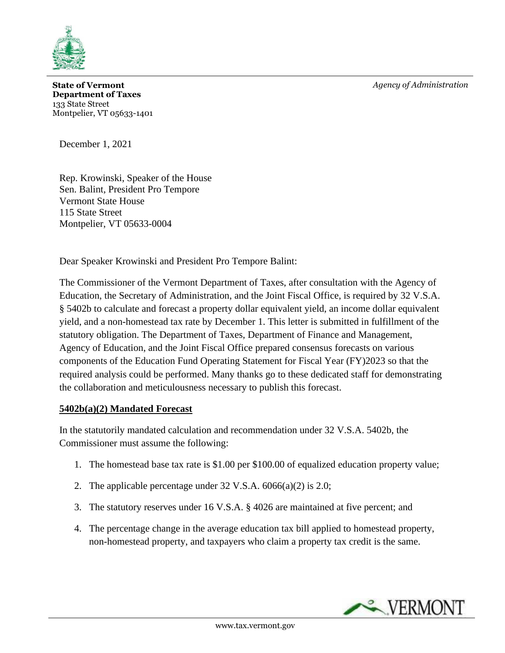*Agency of Administration*



**State of Vermont Department of Taxes** 133 State Street Montpelier, VT 05633-1401

December 1, 2021

Rep. Krowinski, Speaker of the House Sen. Balint, President Pro Tempore Vermont State House 115 State Street Montpelier, VT 05633-0004

Dear Speaker Krowinski and President Pro Tempore Balint:

The Commissioner of the Vermont Department of Taxes, after consultation with the Agency of Education, the Secretary of Administration, and the Joint Fiscal Office, is required by 32 V.S.A. § 5402b to calculate and forecast a property dollar equivalent yield, an income dollar equivalent yield, and a non-homestead tax rate by December 1. This letter is submitted in fulfillment of the statutory obligation. The Department of Taxes, Department of Finance and Management, Agency of Education, and the Joint Fiscal Office prepared consensus forecasts on various components of the Education Fund Operating Statement for Fiscal Year (FY)2023 so that the required analysis could be performed. Many thanks go to these dedicated staff for demonstrating the collaboration and meticulousness necessary to publish this forecast.

## **5402b(a)(2) Mandated Forecast**

In the statutorily mandated calculation and recommendation under 32 V.S.A. 5402b, the Commissioner must assume the following:

- 1. The homestead base tax rate is \$1.00 per \$100.00 of equalized education property value;
- 2. The applicable percentage under  $32 \text{ V.S.A. } 6066(a)(2)$  is  $2.0$ ;
- 3. The statutory reserves under 16 V.S.A. § 4026 are maintained at five percent; and
- 4. The percentage change in the average education tax bill applied to homestead property, non-homestead property, and taxpayers who claim a property tax credit is the same.

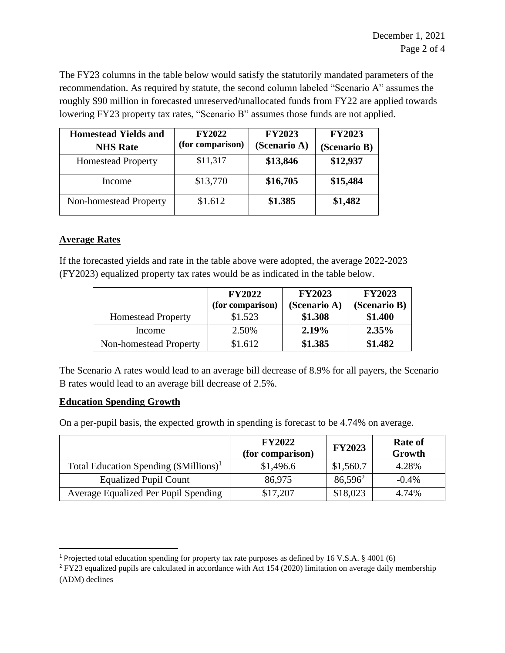The FY23 columns in the table below would satisfy the statutorily mandated parameters of the recommendation. As required by statute, the second column labeled "Scenario A" assumes the roughly \$90 million in forecasted unreserved/unallocated funds from FY22 are applied towards lowering FY23 property tax rates, "Scenario B" assumes those funds are not applied.

| <b>Homestead Yields and</b><br><b>NHS Rate</b> | <b>FY2022</b><br>(for comparison) | <b>FY2023</b><br>(Scenario A) | <b>FY2023</b><br>(Scenario B) |
|------------------------------------------------|-----------------------------------|-------------------------------|-------------------------------|
| <b>Homestead Property</b>                      | \$11,317                          | \$13,846                      | \$12,937                      |
| Income                                         | \$13,770                          | \$16,705                      | \$15,484                      |
| Non-homestead Property                         | \$1.612                           | \$1.385                       | \$1,482                       |

## **Average Rates**

If the forecasted yields and rate in the table above were adopted, the average 2022-2023 (FY2023) equalized property tax rates would be as indicated in the table below.

|                           | <b>FY2022</b><br>(for comparison) | <b>FY2023</b><br>(Scenario A) | <b>FY2023</b><br>(Scenario B) |
|---------------------------|-----------------------------------|-------------------------------|-------------------------------|
| <b>Homestead Property</b> | \$1.523                           | \$1.308                       | \$1.400                       |
| Income                    | 2.50%                             | 2.19%                         | $2.35\%$                      |
| Non-homestead Property    | \$1.612                           | \$1.385                       | \$1.482                       |

The Scenario A rates would lead to an average bill decrease of 8.9% for all payers, the Scenario B rates would lead to an average bill decrease of 2.5%.

## **Education Spending Growth**

On a per-pupil basis, the expected growth in spending is forecast to be 4.74% on average.

|                                                    | <b>FY2022</b><br>(for comparison) | <b>FY2023</b> | <b>Rate of</b><br>Growth |
|----------------------------------------------------|-----------------------------------|---------------|--------------------------|
| Total Education Spending (\$Millions) <sup>1</sup> | \$1,496.6                         | \$1,560.7     | 4.28%                    |
| <b>Equalized Pupil Count</b>                       | 86,975                            | $86,596^2$    | $-0.4%$                  |
| Average Equalized Per Pupil Spending               | \$17,207                          | \$18,023      | 4.74%                    |

<sup>&</sup>lt;sup>1</sup> Projected total education spending for property tax rate purposes as defined by 16 V.S.A.  $\S$  4001 (6)

<sup>2</sup> FY23 equalized pupils are calculated in accordance with Act 154 (2020) limitation on average daily membership (ADM) declines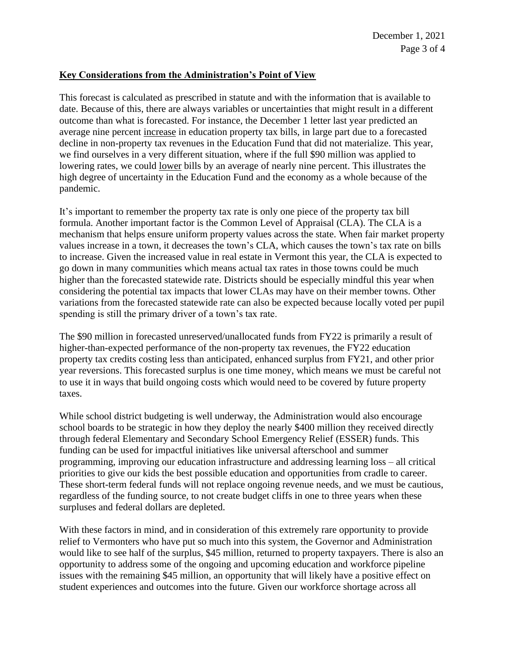## **Key Considerations from the Administration's Point of View**

This forecast is calculated as prescribed in statute and with the information that is available to date. Because of this, there are always variables or uncertainties that might result in a different outcome than what is forecasted. For instance, the December 1 letter last year predicted an average nine percent increase in education property tax bills, in large part due to a forecasted decline in non-property tax revenues in the Education Fund that did not materialize. This year, we find ourselves in a very different situation, where if the full \$90 million was applied to lowering rates, we could lower bills by an average of nearly nine percent. This illustrates the high degree of uncertainty in the Education Fund and the economy as a whole because of the pandemic.

It's important to remember the property tax rate is only one piece of the property tax bill formula. Another important factor is the Common Level of Appraisal (CLA). The CLA is a mechanism that helps ensure uniform property values across the state. When fair market property values increase in a town, it decreases the town's CLA, which causes the town's tax rate on bills to increase. Given the increased value in real estate in Vermont this year, the CLA is expected to go down in many communities which means actual tax rates in those towns could be much higher than the forecasted statewide rate. Districts should be especially mindful this year when considering the potential tax impacts that lower CLAs may have on their member towns. Other variations from the forecasted statewide rate can also be expected because locally voted per pupil spending is still the primary driver of a town's tax rate.

The \$90 million in forecasted unreserved/unallocated funds from FY22 is primarily a result of higher-than-expected performance of the non-property tax revenues, the FY22 education property tax credits costing less than anticipated, enhanced surplus from FY21, and other prior year reversions. This forecasted surplus is one time money, which means we must be careful not to use it in ways that build ongoing costs which would need to be covered by future property taxes.

While school district budgeting is well underway, the Administration would also encourage school boards to be strategic in how they deploy the nearly \$400 million they received directly through federal Elementary and Secondary School Emergency Relief (ESSER) funds. This funding can be used for impactful initiatives like universal afterschool and summer programming, improving our education infrastructure and addressing learning loss – all critical priorities to give our kids the best possible education and opportunities from cradle to career. These short-term federal funds will not replace ongoing revenue needs, and we must be cautious, regardless of the funding source, to not create budget cliffs in one to three years when these surpluses and federal dollars are depleted.

With these factors in mind, and in consideration of this extremely rare opportunity to provide relief to Vermonters who have put so much into this system, the Governor and Administration would like to see half of the surplus, \$45 million, returned to property taxpayers. There is also an opportunity to address some of the ongoing and upcoming education and workforce pipeline issues with the remaining \$45 million, an opportunity that will likely have a positive effect on student experiences and outcomes into the future. Given our workforce shortage across all